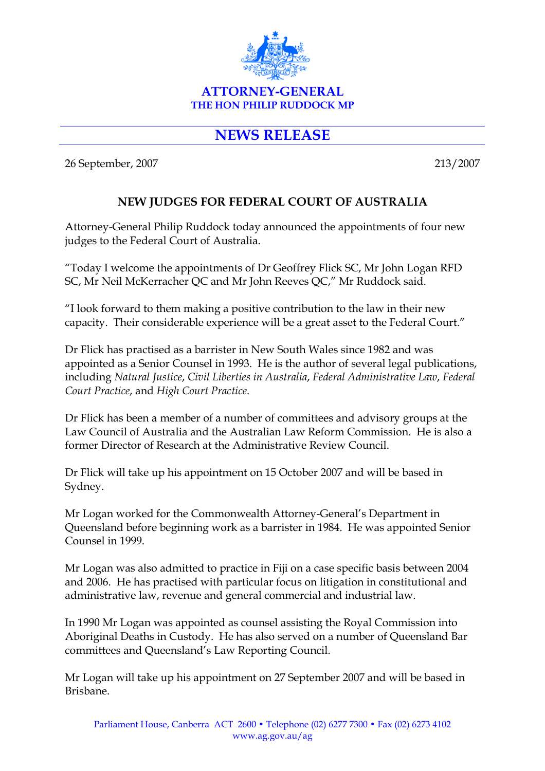

## **NEWS RELEASE**

26 September, 2007 213/2007

## **NEW JUDGES FOR FEDERAL COURT OF AUSTRALIA**

Attorney-General Philip Ruddock today announced the appointments of four new judges to the Federal Court of Australia.

"Today I welcome the appointments of Dr Geoffrey Flick SC, Mr John Logan RFD SC, Mr Neil McKerracher QC and Mr John Reeves QC," Mr Ruddock said.

"I look forward to them making a positive contribution to the law in their new capacity. Their considerable experience will be a great asset to the Federal Court."

Dr Flick has practised as a barrister in New South Wales since 1982 and was appointed as a Senior Counsel in 1993. He is the author of several legal publications, including *Natural Justice*, *Civil Liberties in Australia*, *Federal Administrative Law*, *Federal Court Practice*, and *High Court Practice*.

Dr Flick has been a member of a number of committees and advisory groups at the Law Council of Australia and the Australian Law Reform Commission. He is also a former Director of Research at the Administrative Review Council.

Dr Flick will take up his appointment on 15 October 2007 and will be based in Sydney.

Mr Logan worked for the Commonwealth Attorney-General's Department in Queensland before beginning work as a barrister in 1984. He was appointed Senior Counsel in 1999.

Mr Logan was also admitted to practice in Fiji on a case specific basis between 2004 and 2006. He has practised with particular focus on litigation in constitutional and administrative law, revenue and general commercial and industrial law.

In 1990 Mr Logan was appointed as counsel assisting the Royal Commission into Aboriginal Deaths in Custody. He has also served on a number of Queensland Bar committees and Queensland's Law Reporting Council.

Mr Logan will take up his appointment on 27 September 2007 and will be based in Brisbane.